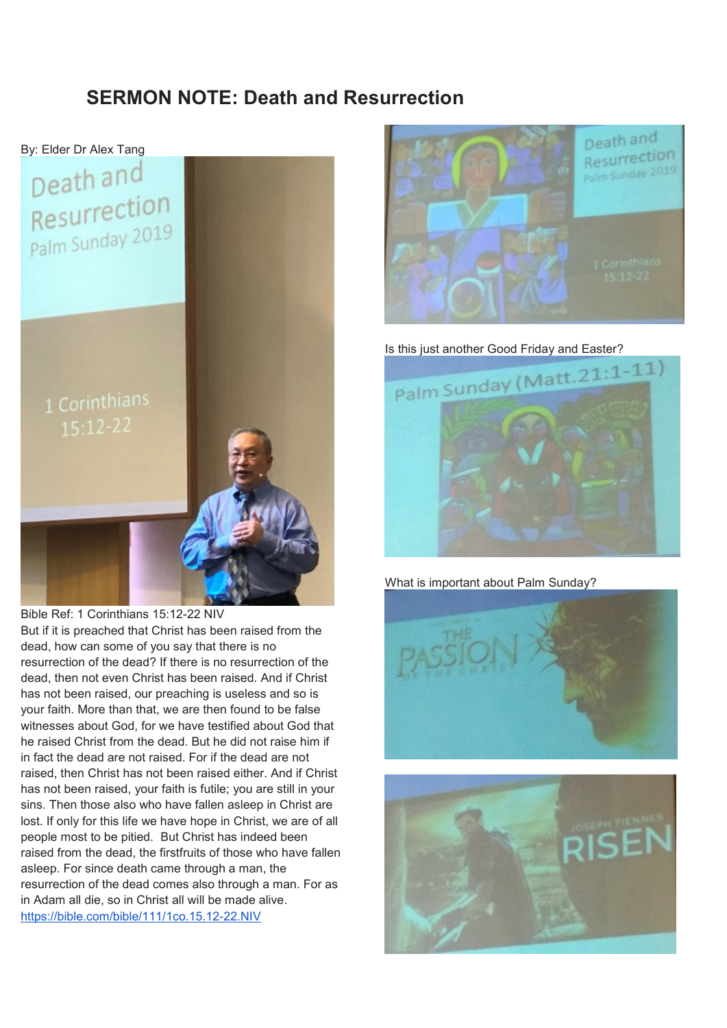#### **SERMON NOTE: Death and Resurrection**



Bible Ref: 1 Corinthians 15:12-22 NIV

But if it is preached that Christ has been raised from the dead, how can some of you say that there is no resurrection of the dead? If there is no resurrection of the dead, then not even Christ has been raised. And if Christ has not been raised, our preaching is useless and so is your faith. More than that, we are then found to be false witnesses about God, for we have testified about God that he raised Christ from the dead. But he did not raise him if in fact the dead are not raised. For if the dead are not raised, then Christ has not been raised either. And if Christ has not been raised, your faith is futile; you are still in your sins. Then those also who have fallen asleep in Christ are lost. If only for this life we have hope in Christ, we are of all people most to be pitied. But Christ has indeed been raised from the dead, the firstfruits of those who have fallen asleep. For since death came through a man, the resurrection of the dead comes also through a man. For as in Adam all die, so in Christ all will be made alive. <https://bible.com/bible/111/1co.15.12-22.NIV>





What is important about Palm Sunday?



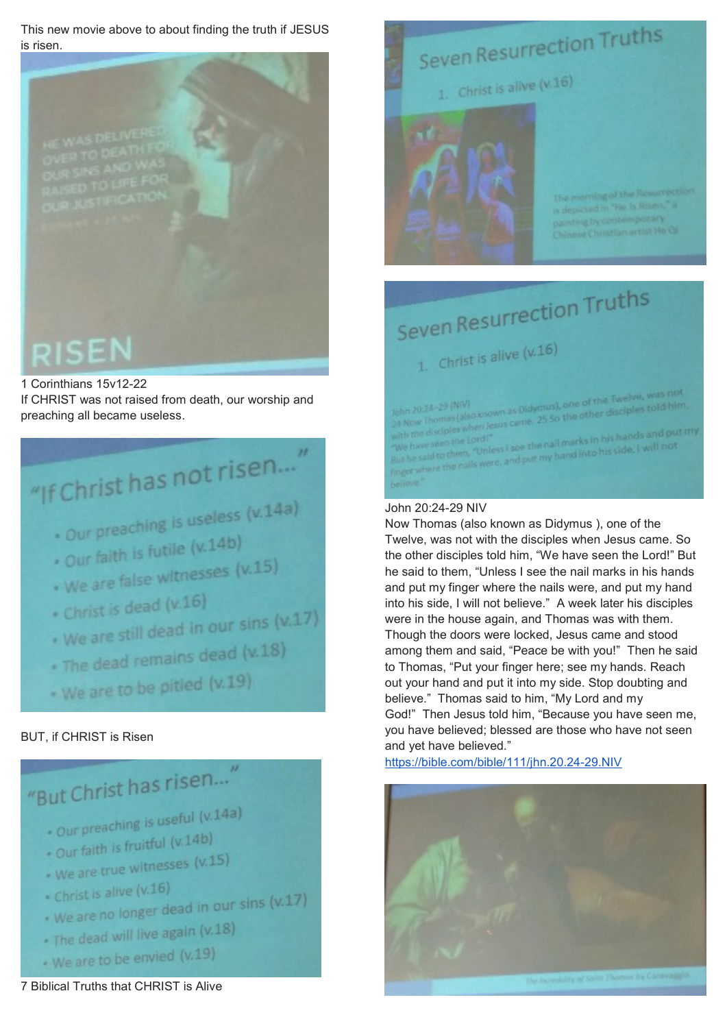This new movie above to about finding the truth if JESUS is risen.



#### 1 Corinthians 15v12-22

If CHRIST was not raised from death, our worship and preaching all became useless.

## "If Christ has not risen..."

- . Our preaching is useless (v.14a)
- . Our faith is futile (v.14b)
- . Our faith is future (v.15)
- 
- · Christ is dead (v.16)
- . Christ is dead (v.10)<br>• We are still dead in our sins (v.17)
- . We are still<br>. The dead remains dead (v.18)
- . We are to be pitied (v.19)

#### BUT, if CHRIST is Risen

### "But Christ has risen...

- Our preaching is useful (v.14a)
- . Our faith is fruitful (v.14b)
- . Our faith is the company of the U.15)
- Christ is alive (v.16)
- Christ is alive (v.10)<br>- We are no longer dead in our sins (v.17)
- \* The dead will live again (v.18)
- . We are to be envied (v.19)



s depicted in "He Is Risen," a ing by contemporary

# Seven Resurrection Truths

Seven Resurrection Truths

1. Christ is alive  $(x.16)$ 

John 20:24-29 (NR/)<br>24 Now Thomas (elso known as Didwnus), one of the Twelve, was not<br>24 Now Thomas (elso known as Didwnus), one other disciples told him John 20:24-29 (NN)<br>24 Now Thomas (also known as Didymus), one of the Twelve, was not<br>25 So the other disciples told him.<br>with the disciples when Jesus came. 25 So the other disciples told him.

24 Now Thomas when Jesus came. 23 SD Williams<br>with the disciples when Jesus came. 23 SD Williams in his hands and put my<br>we have seen the Lord!"<br>But he said to them. "Unless I see the nall marks in his side, I will not with the use of the Lord!"<br>"We have seen the Lord!"<br>But he said to them, "Unless I see the nall marks in his side, I will not<br>finger where the nails were, and put my hand into his side, I will not

#### John 20:24-29 NIV

Now Thomas (also known as Didymus ), one of the Twelve, was not with the disciples when Jesus came. So the other disciples told him, "We have seen the Lord!" But he said to them, "Unless I see the nail marks in his hands and put my finger where the nails were, and put my hand into his side, I will not believe." A week later his disciples were in the house again, and Thomas was with them. Though the doors were locked, Jesus came and stood among them and said, "Peace be with you!" Then he said to Thomas, "Put your finger here; see my hands. Reach out your hand and put it into my side. Stop doubting and believe." Thomas said to him, "My Lord and my God!" Then Jesus told him, "Because you have seen me, you have believed; blessed are those who have not seen and yet have believed."

<https://bible.com/bible/111/jhn.20.24-29.NIV>



7 Biblical Truths that CHRIST is Alive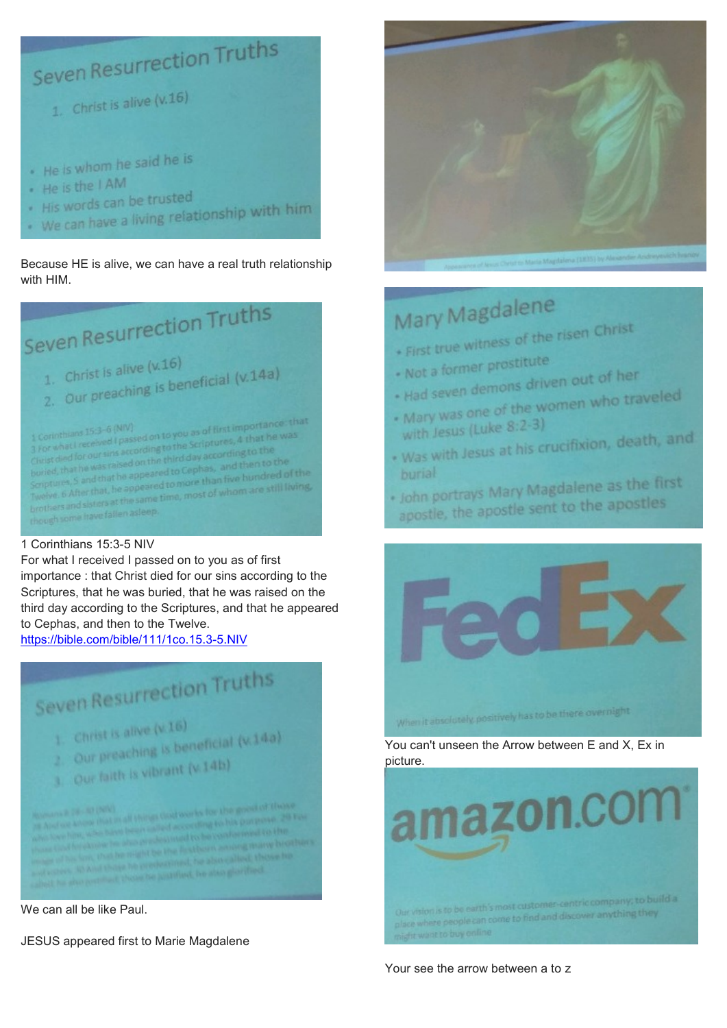

Because HE is alive, we can have a real truth relationship with HIM.

## Seven Resurrection Truths

1. Christ is alive  $(x.16)$ 

- 1. Christ is alive  $(x,16)$ <br>2. Our preaching is beneficial  $(x,14a)$
- 

1 Corinthians 15:3-6 (NIV)<br>3 For what I received I passed on to you as of first importance: that<br>3 For what I received I passed on to you as of first importance: the inthians 15:3-6 (NIV)<br>what I received I passed on to you as of first importance was<br>t died for our sins according to the Scriptures, 4 that he was<br>died for our sins according to the seconding to the r what I received it pactording to the Scriptures,"<br>st died for our sins according to the coording to the<br>ed, that he was raised on the third day according then to the and for our sins according the third day according to the<br>that he was raised on the third day according to the<br>les. S. and that he appeared to more than five hundred of d, that he was raised on the do Cephas, and then to the<br>tures, S and that he appeared to Cephas, and then bundred of the<br>ye. 6 After that, he appeared to more than five hundred of the Senptures, S and that he appeared to more than five hundred using<br>Twelve. 6 After that, he appeared to more than five hundred using<br>brothers and sisters at the same time, most of whom are still living. brothers and sisters at the same.<br>though some have fallen asleep.

#### 1 Corinthians 15:3-5 NIV

For what I received I passed on to you as of first importance : that Christ died for our sins according to the Scriptures, that he was buried, that he was raised on the third day according to the Scriptures, and that he appeared to Cephas, and then to the Twelve.

<https://bible.com/bible/111/1co.15.3-5.NIV>



JESUS appeared first to Marie Magdalene



### Mary Magdalene

First true witness of the risen Christ<br>+ First true witness of the risen Christ

- Not a former prostitute
- . Not a former prosumer
- 
- Had seven demons driven call<br>- Mary was one of the women who traveled<br>- Mary was one of the women who traveled Wary was one 8:2-3) with Jesus (Luke of Law)
- burial
- buriat<br>+ John portrays Mary Magdalene as the first John portrays Mary Wingdom the apostles



You can't unseen the Arrow between E and X, Ex in picture.



Your see the arrow between a to z